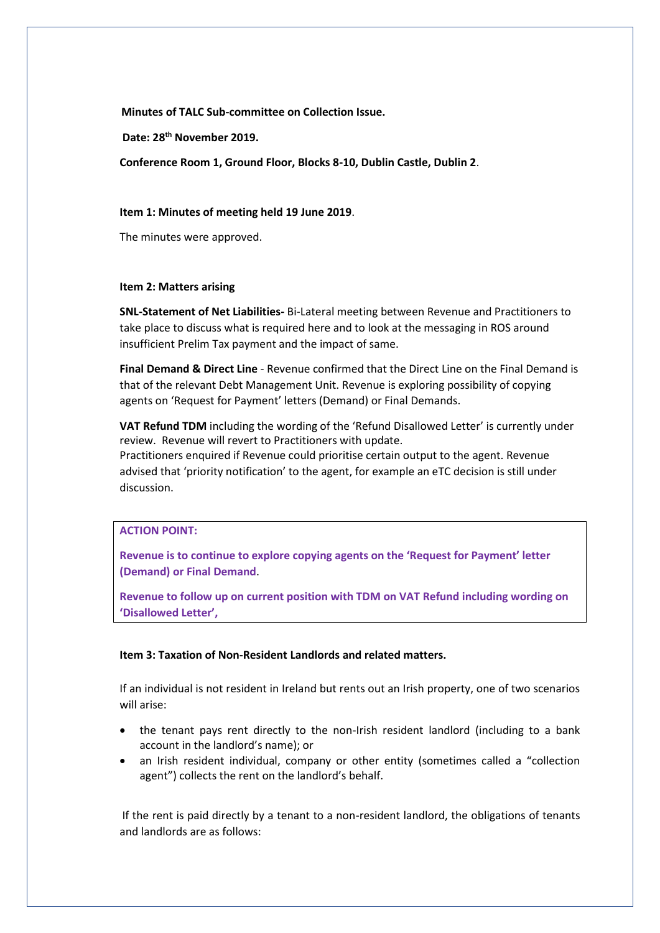**Minutes of TALC Sub-committee on Collection Issue.**

**Date: 28th November 2019.**

**Conference Room 1, Ground Floor, Blocks 8-10, Dublin Castle, Dublin 2**.

## **Item 1: Minutes of meeting held 19 June 2019**.

The minutes were approved.

## **Item 2: Matters arising**

**SNL-Statement of Net Liabilities-** Bi-Lateral meeting between Revenue and Practitioners to take place to discuss what is required here and to look at the messaging in ROS around insufficient Prelim Tax payment and the impact of same.

**Final Demand & Direct Line** - Revenue confirmed that the Direct Line on the Final Demand is that of the relevant Debt Management Unit. Revenue is exploring possibility of copying agents on 'Request for Payment' letters (Demand) or Final Demands.

**VAT Refund TDM** including the wording of the 'Refund Disallowed Letter' is currently under review. Revenue will revert to Practitioners with update.

Practitioners enquired if Revenue could prioritise certain output to the agent. Revenue advised that 'priority notification' to the agent, for example an eTC decision is still under discussion.

# **ACTION POINT:**

**Revenue is to continue to explore copying agents on the 'Request for Payment' letter (Demand) or Final Demand**.

**Revenue to follow up on current position with TDM on VAT Refund including wording on 'Disallowed Letter',**

## **Item 3: Taxation of Non-Resident Landlords and related matters.**

If an individual is not resident in Ireland but rents out an Irish property, one of two scenarios will arise:

- the tenant pays rent directly to the non-Irish resident landlord (including to a bank account in the landlord's name); or
- an Irish resident individual, company or other entity (sometimes called a "collection agent") collects the rent on the landlord's behalf.

If the rent is paid directly by a tenant to a non-resident landlord, the obligations of tenants and landlords are as follows: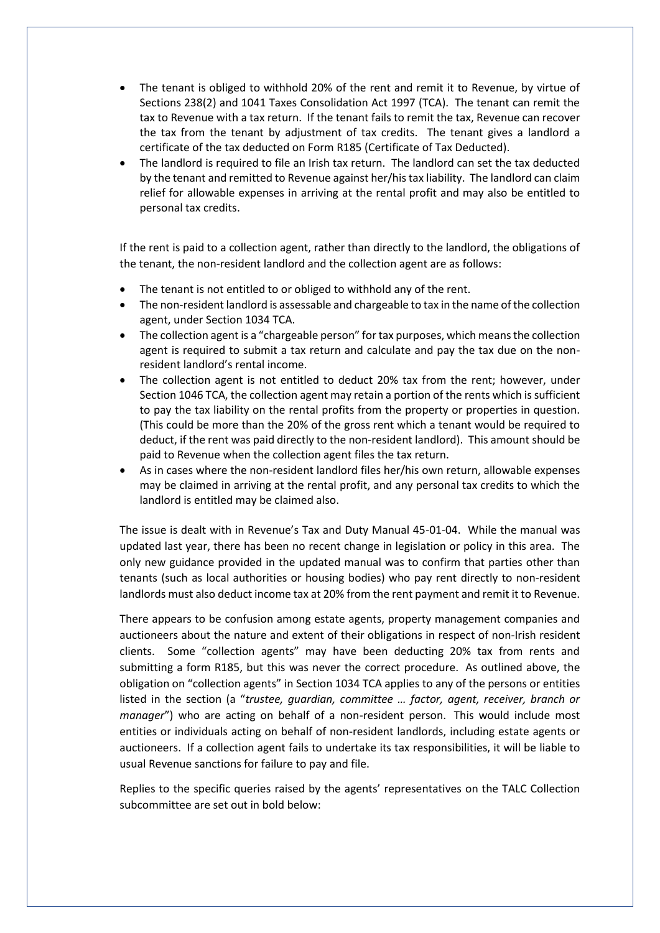- The tenant is obliged to withhold 20% of the rent and remit it to Revenue, by virtue of Sections 238(2) and 1041 Taxes Consolidation Act 1997 (TCA). The tenant can remit the tax to Revenue with a tax return. If the tenant fails to remit the tax, Revenue can recover the tax from the tenant by adjustment of tax credits. The tenant gives a landlord a certificate of the tax deducted on Form R185 (Certificate of Tax Deducted).
- The landlord is required to file an Irish tax return. The landlord can set the tax deducted by the tenant and remitted to Revenue against her/his tax liability. The landlord can claim relief for allowable expenses in arriving at the rental profit and may also be entitled to personal tax credits.

If the rent is paid to a collection agent, rather than directly to the landlord, the obligations of the tenant, the non-resident landlord and the collection agent are as follows:

- The tenant is not entitled to or obliged to withhold any of the rent.
- The non-resident landlord is assessable and chargeable to tax in the name of the collection agent, under Section 1034 TCA.
- The collection agent is a "chargeable person" for tax purposes, which means the collection agent is required to submit a tax return and calculate and pay the tax due on the nonresident landlord's rental income.
- The collection agent is not entitled to deduct 20% tax from the rent; however, under Section 1046 TCA, the collection agent may retain a portion of the rents which is sufficient to pay the tax liability on the rental profits from the property or properties in question. (This could be more than the 20% of the gross rent which a tenant would be required to deduct, if the rent was paid directly to the non-resident landlord). This amount should be paid to Revenue when the collection agent files the tax return.
- As in cases where the non-resident landlord files her/his own return, allowable expenses may be claimed in arriving at the rental profit, and any personal tax credits to which the landlord is entitled may be claimed also.

The issue is dealt with in Revenue's Tax and Duty Manual 45-01-04. While the manual was updated last year, there has been no recent change in legislation or policy in this area. The only new guidance provided in the updated manual was to confirm that parties other than tenants (such as local authorities or housing bodies) who pay rent directly to non-resident landlords must also deduct income tax at 20% from the rent payment and remit it to Revenue.

There appears to be confusion among estate agents, property management companies and auctioneers about the nature and extent of their obligations in respect of non-Irish resident clients. Some "collection agents" may have been deducting 20% tax from rents and submitting a form R185, but this was never the correct procedure. As outlined above, the obligation on "collection agents" in Section 1034 TCA applies to any of the persons or entities listed in the section (a "*trustee, guardian, committee … factor, agent, receiver, branch or manager*") who are acting on behalf of a non-resident person. This would include most entities or individuals acting on behalf of non-resident landlords, including estate agents or auctioneers. If a collection agent fails to undertake its tax responsibilities, it will be liable to usual Revenue sanctions for failure to pay and file.

Replies to the specific queries raised by the agents' representatives on the TALC Collection subcommittee are set out in bold below: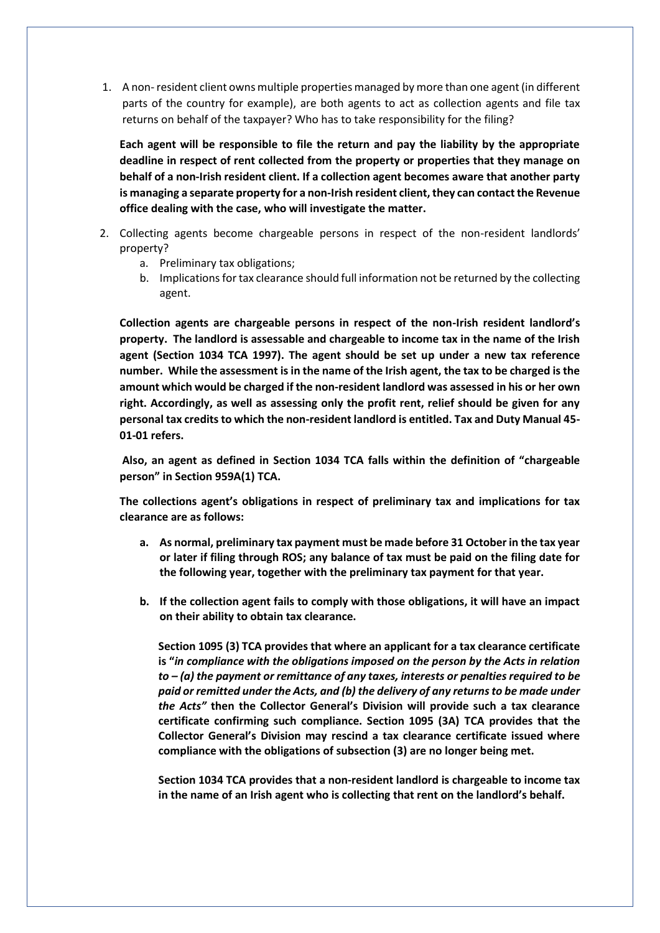1. A non-resident client owns multiple properties managed by more than one agent (in different parts of the country for example), are both agents to act as collection agents and file tax returns on behalf of the taxpayer? Who has to take responsibility for the filing?

**Each agent will be responsible to file the return and pay the liability by the appropriate deadline in respect of rent collected from the property or properties that they manage on behalf of a non-Irish resident client. If a collection agent becomes aware that another party is managing a separate property for a non-Irish resident client, they can contact the Revenue office dealing with the case, who will investigate the matter.**

- 2. Collecting agents become chargeable persons in respect of the non-resident landlords' property?
	- a. Preliminary tax obligations;
	- b. Implications for tax clearance should full information not be returned by the collecting agent.

**Collection agents are chargeable persons in respect of the non-Irish resident landlord's property. The landlord is assessable and chargeable to income tax in the name of the Irish agent (Section 1034 TCA 1997). The agent should be set up under a new tax reference number. While the assessment is in the name of the Irish agent, the tax to be charged is the amount which would be charged if the non-resident landlord was assessed in his or her own right. Accordingly, as well as assessing only the profit rent, relief should be given for any personal tax credits to which the non-resident landlord is entitled. Tax and Duty Manual 45- 01-01 refers.**

**Also, an agent as defined in Section 1034 TCA falls within the definition of "chargeable person" in Section 959A(1) TCA.**

**The collections agent's obligations in respect of preliminary tax and implications for tax clearance are as follows:**

- **a. As normal, preliminary tax payment must be made before 31 October in the tax year or later if filing through ROS; any balance of tax must be paid on the filing date for the following year, together with the preliminary tax payment for that year.**
- **b. If the collection agent fails to comply with those obligations, it will have an impact on their ability to obtain tax clearance.**

**Section 1095 (3) TCA provides that where an applicant for a tax clearance certificate is "***in compliance with the obligations imposed on the person by the Acts in relation to – (a) the payment or remittance of any taxes, interests or penalties required to be paid or remitted under the Acts, and (b) the delivery of any returns to be made under the Acts"* **then the Collector General's Division will provide such a tax clearance certificate confirming such compliance. Section 1095 (3A) TCA provides that the Collector General's Division may rescind a tax clearance certificate issued where compliance with the obligations of subsection (3) are no longer being met.**

**Section 1034 TCA provides that a non-resident landlord is chargeable to income tax in the name of an Irish agent who is collecting that rent on the landlord's behalf.**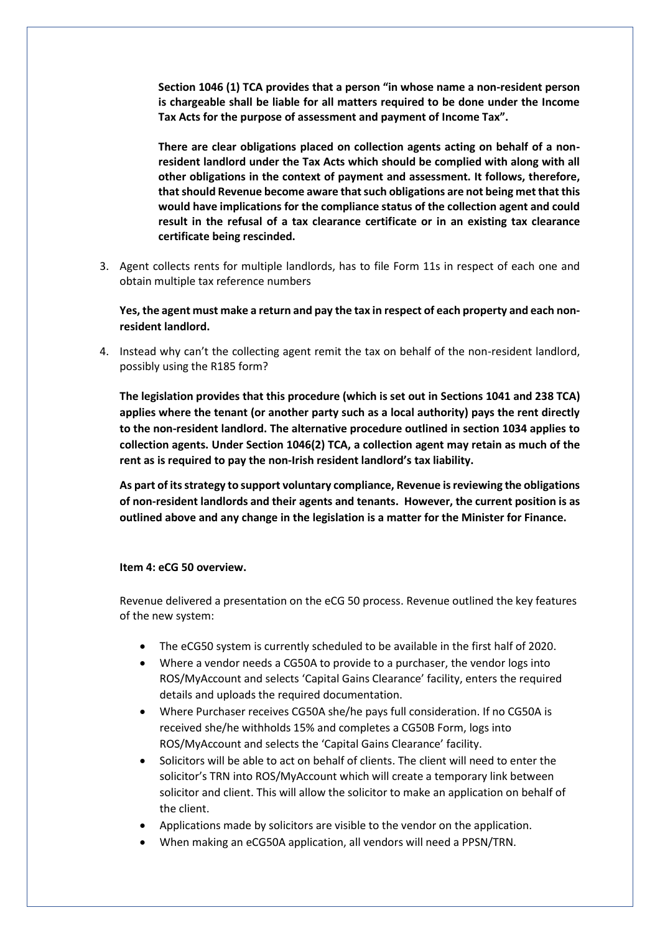**Section 1046 (1) TCA provides that a person "in whose name a non-resident person is chargeable shall be liable for all matters required to be done under the Income Tax Acts for the purpose of assessment and payment of Income Tax".** 

**There are clear obligations placed on collection agents acting on behalf of a nonresident landlord under the Tax Acts which should be complied with along with all other obligations in the context of payment and assessment. It follows, therefore, that should Revenue become aware that such obligations are not being met that this would have implications for the compliance status of the collection agent and could result in the refusal of a tax clearance certificate or in an existing tax clearance certificate being rescinded.**

3. Agent collects rents for multiple landlords, has to file Form 11s in respect of each one and obtain multiple tax reference numbers

**Yes, the agent must make a return and pay the tax in respect of each property and each nonresident landlord.**

4. Instead why can't the collecting agent remit the tax on behalf of the non-resident landlord, possibly using the R185 form?

**The legislation provides that this procedure (which is set out in Sections 1041 and 238 TCA) applies where the tenant (or another party such as a local authority) pays the rent directly to the non-resident landlord. The alternative procedure outlined in section 1034 applies to collection agents. Under Section 1046(2) TCA, a collection agent may retain as much of the rent as is required to pay the non-Irish resident landlord's tax liability.**

**As part of its strategy to support voluntary compliance, Revenue is reviewing the obligations of non-resident landlords and their agents and tenants. However, the current position is as outlined above and any change in the legislation is a matter for the Minister for Finance.**

#### **Item 4: eCG 50 overview.**

Revenue delivered a presentation on the eCG 50 process. Revenue outlined the key features of the new system:

- The eCG50 system is currently scheduled to be available in the first half of 2020.
- Where a vendor needs a CG50A to provide to a purchaser, the vendor logs into ROS/MyAccount and selects 'Capital Gains Clearance' facility, enters the required details and uploads the required documentation.
- Where Purchaser receives CG50A she/he pays full consideration. If no CG50A is received she/he withholds 15% and completes a CG50B Form, logs into ROS/MyAccount and selects the 'Capital Gains Clearance' facility.
- Solicitors will be able to act on behalf of clients. The client will need to enter the solicitor's TRN into ROS/MyAccount which will create a temporary link between solicitor and client. This will allow the solicitor to make an application on behalf of the client.
- Applications made by solicitors are visible to the vendor on the application.
- When making an eCG50A application, all vendors will need a PPSN/TRN.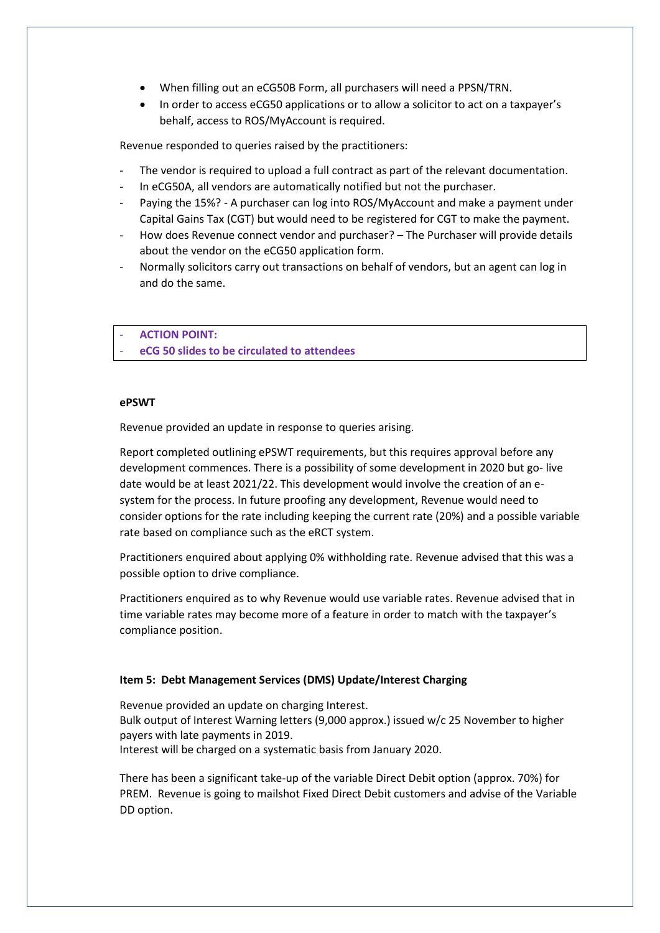- When filling out an eCG50B Form, all purchasers will need a PPSN/TRN.
- In order to access eCG50 applications or to allow a solicitor to act on a taxpayer's behalf, access to ROS/MyAccount is required.

Revenue responded to queries raised by the practitioners:

- The vendor is required to upload a full contract as part of the relevant documentation.
- In eCG50A, all vendors are automatically notified but not the purchaser.
- Paying the 15%? A purchaser can log into ROS/MyAccount and make a payment under Capital Gains Tax (CGT) but would need to be registered for CGT to make the payment.
- How does Revenue connect vendor and purchaser? The Purchaser will provide details about the vendor on the eCG50 application form.
- Normally solicitors carry out transactions on behalf of vendors, but an agent can log in and do the same.

- **ACTION POINT:**

- **eCG 50 slides to be circulated to attendees** 

## **ePSWT**

Revenue provided an update in response to queries arising.

Report completed outlining ePSWT requirements, but this requires approval before any development commences. There is a possibility of some development in 2020 but go- live date would be at least 2021/22. This development would involve the creation of an esystem for the process. In future proofing any development, Revenue would need to consider options for the rate including keeping the current rate (20%) and a possible variable rate based on compliance such as the eRCT system.

Practitioners enquired about applying 0% withholding rate. Revenue advised that this was a possible option to drive compliance.

Practitioners enquired as to why Revenue would use variable rates. Revenue advised that in time variable rates may become more of a feature in order to match with the taxpayer's compliance position.

## **Item 5: Debt Management Services (DMS) Update/Interest Charging**

Revenue provided an update on charging Interest. Bulk output of Interest Warning letters (9,000 approx.) issued w/c 25 November to higher payers with late payments in 2019. Interest will be charged on a systematic basis from January 2020.

There has been a significant take-up of the variable Direct Debit option (approx. 70%) for PREM. Revenue is going to mailshot Fixed Direct Debit customers and advise of the Variable DD option.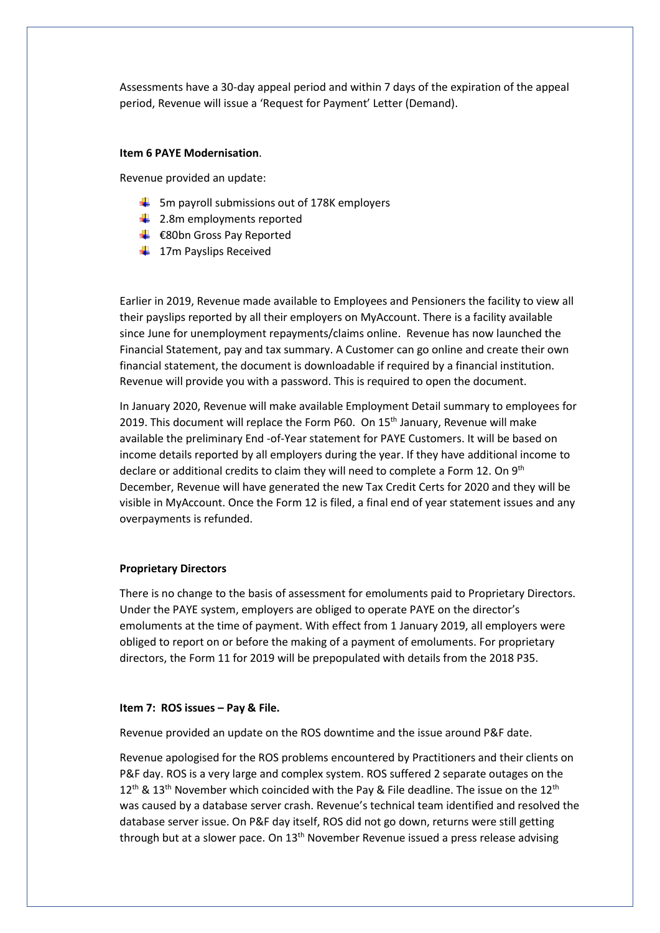Assessments have a 30-day appeal period and within 7 days of the expiration of the appeal period, Revenue will issue a 'Request for Payment' Letter (Demand).

### **Item 6 PAYE Modernisation**.

Revenue provided an update:

- $\frac{1}{2}$  5m payroll submissions out of 178K employers
- $\ddot{\bullet}$  2.8m employments reported
- **E**80bn Gross Pay Reported
- $\frac{1}{2}$  17m Payslips Received

Earlier in 2019, Revenue made available to Employees and Pensioners the facility to view all their payslips reported by all their employers on MyAccount. There is a facility available since June for unemployment repayments/claims online. Revenue has now launched the Financial Statement, pay and tax summary. A Customer can go online and create their own financial statement, the document is downloadable if required by a financial institution. Revenue will provide you with a password. This is required to open the document.

In January 2020, Revenue will make available Employment Detail summary to employees for 2019. This document will replace the Form P60. On 15th January, Revenue will make available the preliminary End -of-Year statement for PAYE Customers. It will be based on income details reported by all employers during the year. If they have additional income to declare or additional credits to claim they will need to complete a Form 12. On 9<sup>th</sup> December, Revenue will have generated the new Tax Credit Certs for 2020 and they will be visible in MyAccount. Once the Form 12 is filed, a final end of year statement issues and any overpayments is refunded.

## **Proprietary Directors**

There is no change to the basis of assessment for emoluments paid to Proprietary Directors. Under the PAYE system, employers are obliged to operate PAYE on the director's emoluments at the time of payment. With effect from 1 January 2019, all employers were obliged to report on or before the making of a payment of emoluments. For proprietary directors, the Form 11 for 2019 will be prepopulated with details from the 2018 P35.

#### **Item 7: ROS issues – Pay & File.**

Revenue provided an update on the ROS downtime and the issue around P&F date.

Revenue apologised for the ROS problems encountered by Practitioners and their clients on P&F day. ROS is a very large and complex system. ROS suffered 2 separate outages on the  $12<sup>th</sup>$  &  $13<sup>th</sup>$  November which coincided with the Pay & File deadline. The issue on the  $12<sup>th</sup>$ was caused by a database server crash. Revenue's technical team identified and resolved the database server issue. On P&F day itself, ROS did not go down, returns were still getting through but at a slower pace. On  $13<sup>th</sup>$  November Revenue issued a press release advising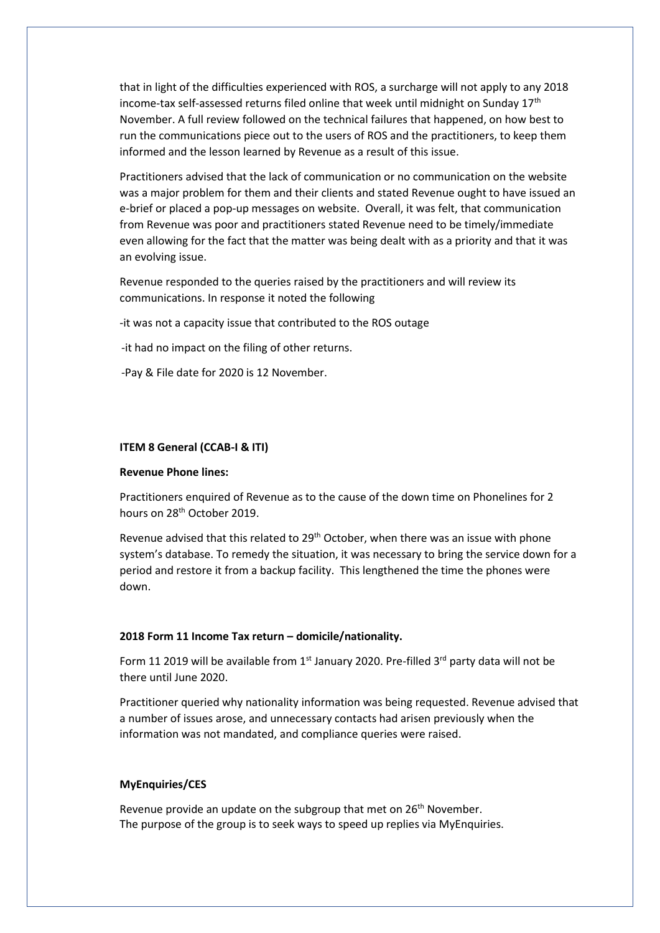that in light of the difficulties experienced with ROS, a surcharge will not apply to any 2018 income-tax self-assessed returns filed online that week until midnight on Sunday  $17<sup>th</sup>$ November. A full review followed on the technical failures that happened, on how best to run the communications piece out to the users of ROS and the practitioners, to keep them informed and the lesson learned by Revenue as a result of this issue.

Practitioners advised that the lack of communication or no communication on the website was a major problem for them and their clients and stated Revenue ought to have issued an e-brief or placed a pop-up messages on website. Overall, it was felt, that communication from Revenue was poor and practitioners stated Revenue need to be timely/immediate even allowing for the fact that the matter was being dealt with as a priority and that it was an evolving issue.

Revenue responded to the queries raised by the practitioners and will review its communications. In response it noted the following

-it was not a capacity issue that contributed to the ROS outage

-it had no impact on the filing of other returns.

-Pay & File date for 2020 is 12 November.

#### **ITEM 8 General (CCAB-I & ITI)**

#### **Revenue Phone lines:**

Practitioners enquired of Revenue as to the cause of the down time on Phonelines for 2 hours on 28th October 2019.

Revenue advised that this related to 29<sup>th</sup> October, when there was an issue with phone system's database. To remedy the situation, it was necessary to bring the service down for a period and restore it from a backup facility. This lengthened the time the phones were down.

## **2018 Form 11 Income Tax return – domicile/nationality.**

Form 11 2019 will be available from  $1<sup>st</sup>$  January 2020. Pre-filled  $3<sup>rd</sup>$  party data will not be there until June 2020.

Practitioner queried why nationality information was being requested. Revenue advised that a number of issues arose, and unnecessary contacts had arisen previously when the information was not mandated, and compliance queries were raised.

## **MyEnquiries/CES**

Revenue provide an update on the subgroup that met on 26<sup>th</sup> November. The purpose of the group is to seek ways to speed up replies via MyEnquiries.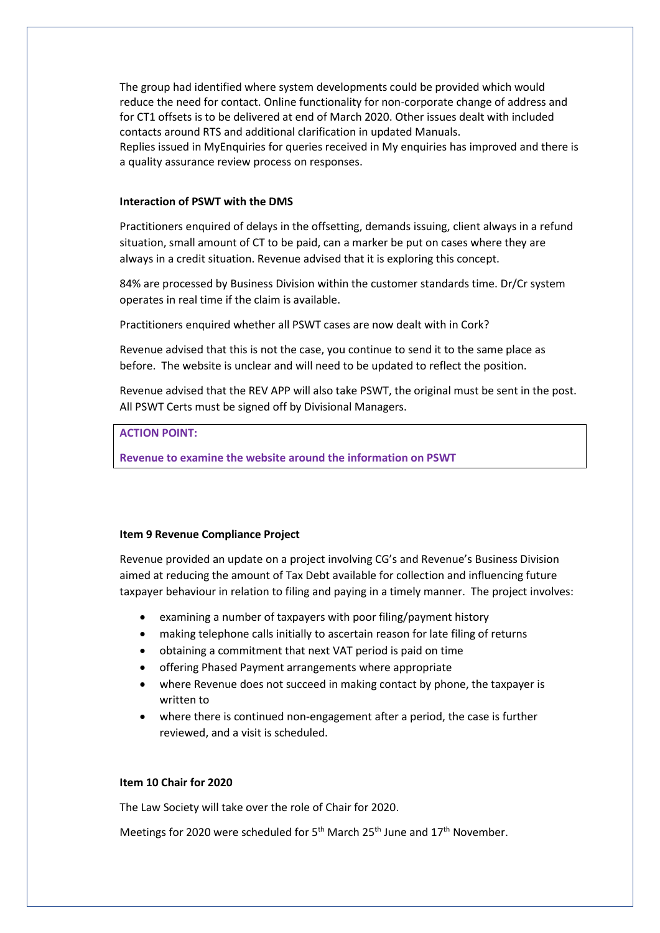The group had identified where system developments could be provided which would reduce the need for contact. Online functionality for non-corporate change of address and for CT1 offsets is to be delivered at end of March 2020. Other issues dealt with included contacts around RTS and additional clarification in updated Manuals. Replies issued in MyEnquiries for queries received in My enquiries has improved and there is a quality assurance review process on responses.

## **Interaction of PSWT with the DMS**

Practitioners enquired of delays in the offsetting, demands issuing, client always in a refund situation, small amount of CT to be paid, can a marker be put on cases where they are always in a credit situation. Revenue advised that it is exploring this concept.

84% are processed by Business Division within the customer standards time. Dr/Cr system operates in real time if the claim is available.

Practitioners enquired whether all PSWT cases are now dealt with in Cork?

Revenue advised that this is not the case, you continue to send it to the same place as before. The website is unclear and will need to be updated to reflect the position.

Revenue advised that the REV APP will also take PSWT, the original must be sent in the post. All PSWT Certs must be signed off by Divisional Managers.

# **ACTION POINT:**

**Revenue to examine the website around the information on PSWT**

## **Item 9 Revenue Compliance Project**

Revenue provided an update on a project involving CG's and Revenue's Business Division aimed at reducing the amount of Tax Debt available for collection and influencing future taxpayer behaviour in relation to filing and paying in a timely manner. The project involves:

- examining a number of taxpayers with poor filing/payment history
- making telephone calls initially to ascertain reason for late filing of returns
- obtaining a commitment that next VAT period is paid on time
- offering Phased Payment arrangements where appropriate
- where Revenue does not succeed in making contact by phone, the taxpayer is written to
- where there is continued non-engagement after a period, the case is further reviewed, and a visit is scheduled.

## **Item 10 Chair for 2020**

The Law Society will take over the role of Chair for 2020.

Meetings for 2020 were scheduled for  $5<sup>th</sup>$  March 25<sup>th</sup> June and 17<sup>th</sup> November.